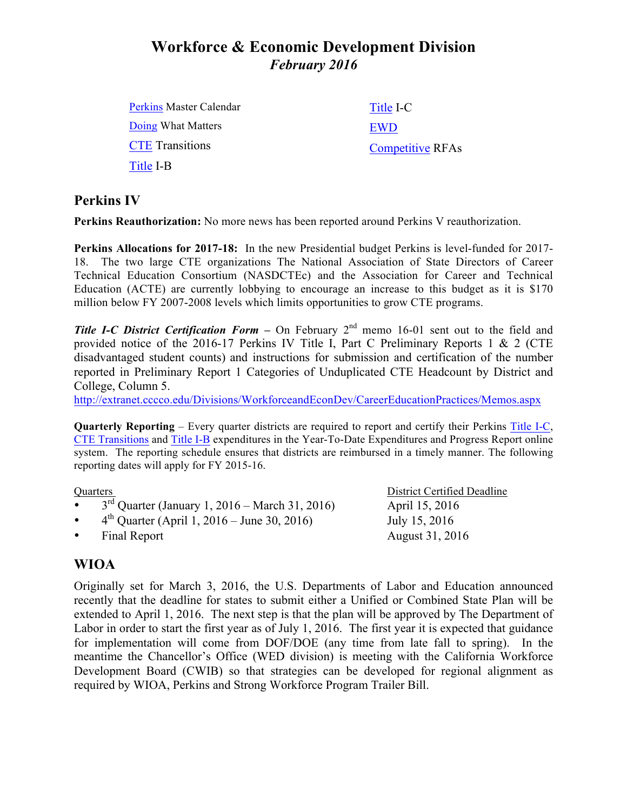# **Workforce & Economic Development Division** *February 2016*

| <b>Perkins Master Calendar</b> | Title I-C               |
|--------------------------------|-------------------------|
| Doing What Matters             | EWD                     |
| <b>CTE</b> Transitions         | <b>Competitive RFAs</b> |
| Title I-B                      |                         |

## **Perkins IV**

**Perkins Reauthorization:** No more news has been reported around Perkins V reauthorization.

**Perkins Allocations for 2017-18:** In the new Presidential budget Perkins is level-funded for 2017- 18. The two large CTE organizations The National Association of State Directors of Career Technical Education Consortium (NASDCTEc) and the Association for Career and Technical Education (ACTE) are currently lobbying to encourage an increase to this budget as it is \$170 million below FY 2007-2008 levels which limits opportunities to grow CTE programs.

**Title I-C District Certification Form –** On February 2<sup>nd</sup> memo 16-01 sent out to the field and provided notice of the 2016-17 Perkins IV Title I, Part C Preliminary Reports 1 & 2 (CTE disadvantaged student counts) and instructions for submission and certification of the number reported in Preliminary Report 1 Categories of Unduplicated CTE Headcount by District and College, Column 5.

http://extranet.cccco.edu/Divisions/WorkforceandEconDev/CareerEducationPractices/Memos.aspx

**Quarterly Reporting** – Every quarter districts are required to report and certify their Perkins Title I-C, CTE Transitions and Title I-B expenditures in the Year-To-Date Expenditures and Progress Report online system. The reporting schedule ensures that districts are reimbursed in a timely manner. The following reporting dates will apply for FY 2015-16.

- $3<sup>rd</sup>$  Quarter (January 1, 2016 March 31, 2016) April 15, 2016
- $4^{\text{th}}$  Quarter (April 1, 2016 June 30, 2016) July 15, 2016
- Final Report August 31, 2016

Quarters District Certified Deadline

## **WIOA**

Originally set for March 3, 2016, the U.S. Departments of Labor and Education announced recently that the deadline for states to submit either a Unified or Combined State Plan will be extended to April 1, 2016. The next step is that the plan will be approved by The Department of Labor in order to start the first year as of July 1, 2016. The first year it is expected that guidance for implementation will come from DOF/DOE (any time from late fall to spring). In the meantime the Chancellor's Office (WED division) is meeting with the California Workforce Development Board (CWIB) so that strategies can be developed for regional alignment as required by WIOA, Perkins and Strong Workforce Program Trailer Bill.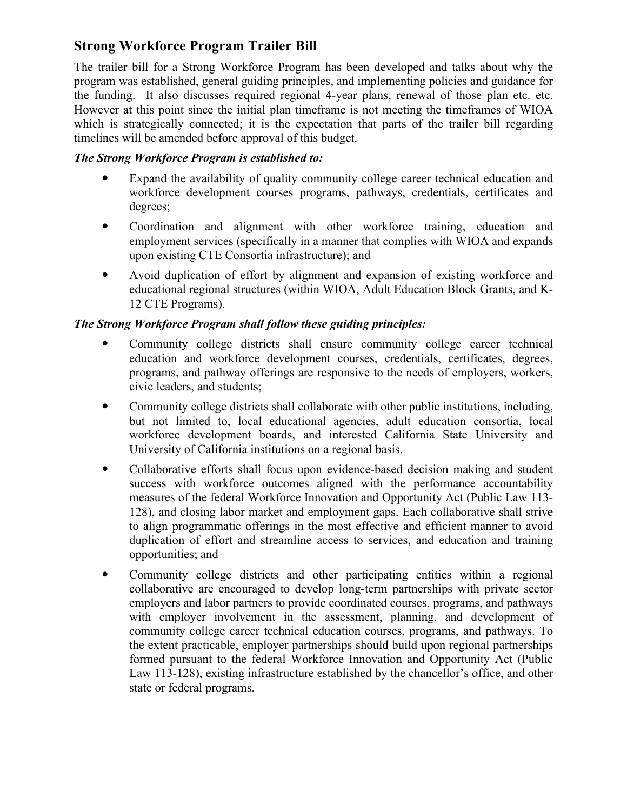## **Strong Workforce Program Trailer Bill**

The trailer bill for a Strong Workforce Program has been developed and talks about why the program was established, general guiding principles, and implementing policies and guidance for the funding. It also discusses required regional 4-year plans, renewal of those plan etc. etc. However at this point since the initial plan timeframe is not meeting the timeframes of WIOA which is strategically connected; it is the expectation that parts of the trailer bill regarding timelines will be amended before approval of this budget.

#### *The Strong Workforce Program is established to:*

- Expand the availability of quality community college career technical education and workforce development courses programs, pathways, credentials, certificates and degrees;
- Coordination and alignment with other workforce training, education and employment services (specifically in a manner that complies with WIOA and expands upon existing CTE Consortia infrastructure); and
- Avoid duplication of effort by alignment and expansion of existing workforce and educational regional structures (within WIOA, Adult Education Block Grants, and K-12 CTE Programs).

## *The Strong Workforce Program shall follow these guiding principles:*

- Community college districts shall ensure community college career technical education and workforce development courses, credentials, certificates, degrees, programs, and pathway offerings are responsive to the needs of employers, workers, civic leaders, and students;
- Community college districts shall collaborate with other public institutions, including, but not limited to, local educational agencies, adult education consortia, local workforce development boards, and interested California State University and University of California institutions on a regional basis.
- Collaborative efforts shall focus upon evidence-based decision making and student success with workforce outcomes aligned with the performance accountability measures of the federal Workforce Innovation and Opportunity Act (Public Law 113- 128), and closing labor market and employment gaps. Each collaborative shall strive to align programmatic offerings in the most effective and efficient manner to avoid duplication of effort and streamline access to services, and education and training opportunities; and
- Community college districts and other participating entities within a regional collaborative are encouraged to develop long-term partnerships with private sector employers and labor partners to provide coordinated courses, programs, and pathways with employer involvement in the assessment, planning, and development of community college career technical education courses, programs, and pathways. To the extent practicable, employer partnerships should build upon regional partnerships formed pursuant to the federal Workforce Innovation and Opportunity Act (Public Law 113-128), existing infrastructure established by the chancellor's office, and other state or federal programs.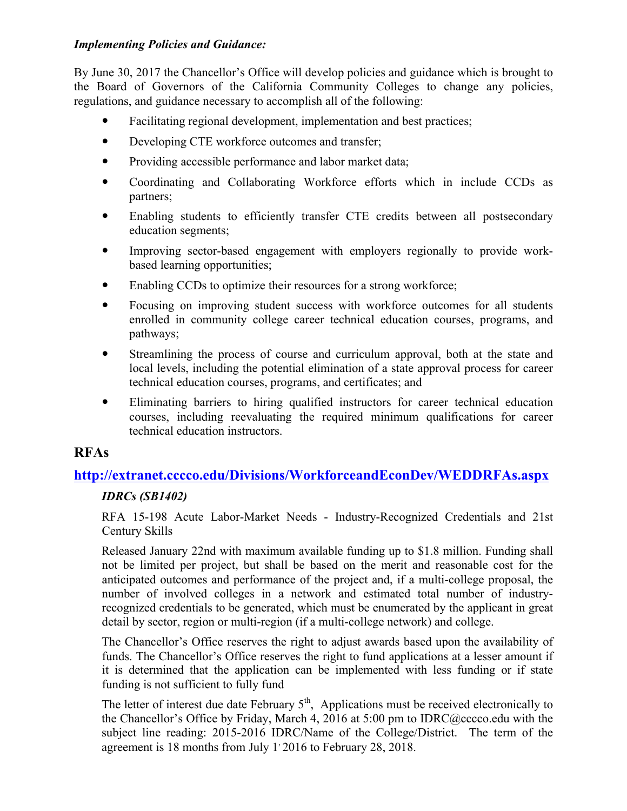### *Implementing Policies and Guidance:*

By June 30, 2017 the Chancellor's Office will develop policies and guidance which is brought to the Board of Governors of the California Community Colleges to change any policies, regulations, and guidance necessary to accomplish all of the following:

- Facilitating regional development, implementation and best practices;
- Developing CTE workforce outcomes and transfer;
- Providing accessible performance and labor market data;
- Coordinating and Collaborating Workforce efforts which in include CCDs as partners;
- Enabling students to efficiently transfer CTE credits between all postsecondary education segments;
- Improving sector-based engagement with employers regionally to provide workbased learning opportunities;
- Enabling CCDs to optimize their resources for a strong workforce;
- Focusing on improving student success with workforce outcomes for all students enrolled in community college career technical education courses, programs, and pathways;
- Streamlining the process of course and curriculum approval, both at the state and local levels, including the potential elimination of a state approval process for career technical education courses, programs, and certificates; and
- Eliminating barriers to hiring qualified instructors for career technical education courses, including reevaluating the required minimum qualifications for career technical education instructors.

## **RFAs**

## **http://extranet.cccco.edu/Divisions/WorkforceandEconDev/WEDDRFAs.aspx**

## *IDRCs (SB1402)*

RFA 15-198 Acute Labor-Market Needs - Industry-Recognized Credentials and 21st Century Skills

Released January 22nd with maximum available funding up to \$1.8 million. Funding shall not be limited per project, but shall be based on the merit and reasonable cost for the anticipated outcomes and performance of the project and, if a multi-college proposal, the number of involved colleges in a network and estimated total number of industryrecognized credentials to be generated, which must be enumerated by the applicant in great detail by sector, region or multi-region (if a multi-college network) and college.

The Chancellor's Office reserves the right to adjust awards based upon the availability of funds. The Chancellor's Office reserves the right to fund applications at a lesser amount if it is determined that the application can be implemented with less funding or if state funding is not sufficient to fully fund

The letter of interest due date February  $5<sup>th</sup>$ , Applications must be received electronically to the Chancellor's Office by Friday, March 4, 2016 at 5:00 pm to IDRC@cccco.edu with the subject line reading: 2015-2016 IDRC/Name of the College/District. The term of the agreement is 18 months from July 1<sup>,</sup> 2016 to February 28, 2018.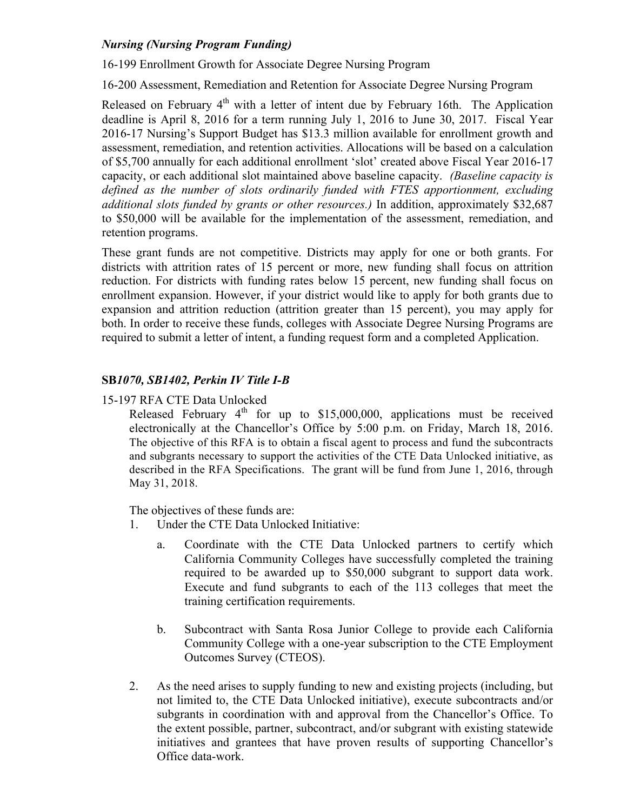## *Nursing (Nursing Program Funding)*

16-199 Enrollment Growth for Associate Degree Nursing Program

16-200 Assessment, Remediation and Retention for Associate Degree Nursing Program

Released on February  $4<sup>th</sup>$  with a letter of intent due by February 16th. The Application deadline is April 8, 2016 for a term running July 1, 2016 to June 30, 2017. Fiscal Year 2016-17 Nursing's Support Budget has \$13.3 million available for enrollment growth and assessment, remediation, and retention activities. Allocations will be based on a calculation of \$5,700 annually for each additional enrollment 'slot' created above Fiscal Year 2016-17 capacity, or each additional slot maintained above baseline capacity. *(Baseline capacity is defined as the number of slots ordinarily funded with FTES apportionment, excluding additional slots funded by grants or other resources.)* In addition, approximately \$32,687 to \$50,000 will be available for the implementation of the assessment, remediation, and retention programs.

These grant funds are not competitive. Districts may apply for one or both grants. For districts with attrition rates of 15 percent or more, new funding shall focus on attrition reduction. For districts with funding rates below 15 percent, new funding shall focus on enrollment expansion. However, if your district would like to apply for both grants due to expansion and attrition reduction (attrition greater than 15 percent), you may apply for both. In order to receive these funds, colleges with Associate Degree Nursing Programs are required to submit a letter of intent, a funding request form and a completed Application.

#### **SB***1070, SB1402, Perkin IV Title I-B*

15-197 RFA CTE Data Unlocked

Released February  $4<sup>th</sup>$  for up to \$15,000,000, applications must be received electronically at the Chancellor's Office by 5:00 p.m. on Friday, March 18, 2016. The objective of this RFA is to obtain a fiscal agent to process and fund the subcontracts and subgrants necessary to support the activities of the CTE Data Unlocked initiative, as described in the RFA Specifications. The grant will be fund from June 1, 2016, through May 31, 2018.

The objectives of these funds are:

- 1. Under the CTE Data Unlocked Initiative:
	- a. Coordinate with the CTE Data Unlocked partners to certify which California Community Colleges have successfully completed the training required to be awarded up to \$50,000 subgrant to support data work. Execute and fund subgrants to each of the 113 colleges that meet the training certification requirements.
	- b. Subcontract with Santa Rosa Junior College to provide each California Community College with a one-year subscription to the CTE Employment Outcomes Survey (CTEOS).
- 2. As the need arises to supply funding to new and existing projects (including, but not limited to, the CTE Data Unlocked initiative), execute subcontracts and/or subgrants in coordination with and approval from the Chancellor's Office. To the extent possible, partner, subcontract, and/or subgrant with existing statewide initiatives and grantees that have proven results of supporting Chancellor's Office data-work.